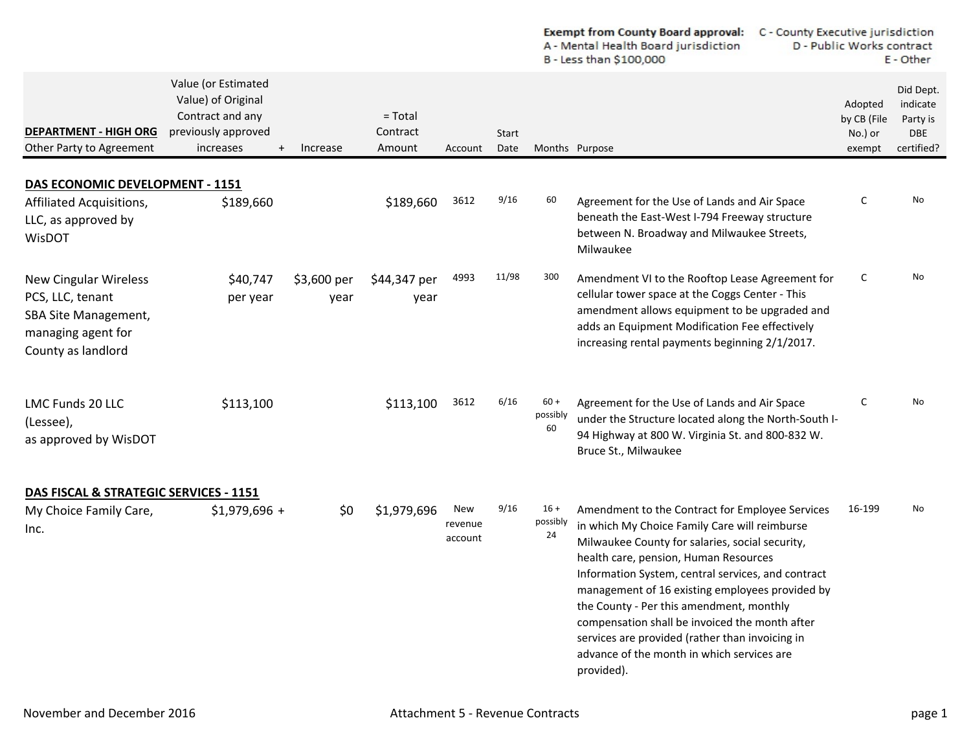|                                                                                                                             |                                                                                                          |                     |                                 |                           |               | <b>Exempt from County Board approval:</b><br>A - Mental Health Board jurisdiction<br>B - Less than \$100,000 |                                                                                                                                                                                                                                                                                                                                                                                                                                                                                                                    |  | C - County Executive jurisdiction<br>D - Public Works contract<br>E - Other |                                                               |  |
|-----------------------------------------------------------------------------------------------------------------------------|----------------------------------------------------------------------------------------------------------|---------------------|---------------------------------|---------------------------|---------------|--------------------------------------------------------------------------------------------------------------|--------------------------------------------------------------------------------------------------------------------------------------------------------------------------------------------------------------------------------------------------------------------------------------------------------------------------------------------------------------------------------------------------------------------------------------------------------------------------------------------------------------------|--|-----------------------------------------------------------------------------|---------------------------------------------------------------|--|
| <b>DEPARTMENT - HIGH ORG</b><br>Other Party to Agreement                                                                    | Value (or Estimated<br>Value) of Original<br>Contract and any<br>previously approved<br>increases<br>$+$ | Increase            | $= Total$<br>Contract<br>Amount | Account                   | Start<br>Date |                                                                                                              | Months Purpose                                                                                                                                                                                                                                                                                                                                                                                                                                                                                                     |  | Adopted<br>by CB (File<br>No.) or<br>exempt                                 | Did Dept.<br>indicate<br>Party is<br><b>DBE</b><br>certified? |  |
| DAS ECONOMIC DEVELOPMENT - 1151                                                                                             |                                                                                                          |                     |                                 |                           |               |                                                                                                              |                                                                                                                                                                                                                                                                                                                                                                                                                                                                                                                    |  |                                                                             |                                                               |  |
| Affiliated Acquisitions,<br>LLC, as approved by<br><b>WisDOT</b>                                                            | \$189,660                                                                                                |                     | \$189,660                       | 3612                      | 9/16          | 60                                                                                                           | Agreement for the Use of Lands and Air Space<br>beneath the East-West I-794 Freeway structure<br>between N. Broadway and Milwaukee Streets,<br>Milwaukee                                                                                                                                                                                                                                                                                                                                                           |  | C                                                                           | No                                                            |  |
| <b>New Cingular Wireless</b><br>PCS, LLC, tenant<br><b>SBA Site Management,</b><br>managing agent for<br>County as landlord | \$40,747<br>per year                                                                                     | \$3,600 per<br>year | \$44,347 per<br>year            | 4993                      | 11/98         | 300                                                                                                          | Amendment VI to the Rooftop Lease Agreement for<br>cellular tower space at the Coggs Center - This<br>amendment allows equipment to be upgraded and<br>adds an Equipment Modification Fee effectively<br>increasing rental payments beginning 2/1/2017.                                                                                                                                                                                                                                                            |  | C                                                                           | No                                                            |  |
| LMC Funds 20 LLC<br>(Lessee),<br>as approved by WisDOT                                                                      | \$113,100                                                                                                |                     | \$113,100                       | 3612                      | 6/16          | $60 +$<br>possibly<br>60                                                                                     | Agreement for the Use of Lands and Air Space<br>under the Structure located along the North-South I-<br>94 Highway at 800 W. Virginia St. and 800-832 W.<br>Bruce St., Milwaukee                                                                                                                                                                                                                                                                                                                                   |  | C                                                                           | No                                                            |  |
| DAS FISCAL & STRATEGIC SERVICES - 1151                                                                                      |                                                                                                          |                     |                                 |                           |               |                                                                                                              |                                                                                                                                                                                                                                                                                                                                                                                                                                                                                                                    |  |                                                                             |                                                               |  |
| My Choice Family Care,<br>Inc.                                                                                              | $$1,979,696 +$                                                                                           | \$0                 | \$1,979,696                     | New<br>revenue<br>account | 9/16          | $16 +$<br>possibly<br>24                                                                                     | Amendment to the Contract for Employee Services<br>in which My Choice Family Care will reimburse<br>Milwaukee County for salaries, social security,<br>health care, pension, Human Resources<br>Information System, central services, and contract<br>management of 16 existing employees provided by<br>the County - Per this amendment, monthly<br>compensation shall be invoiced the month after<br>services are provided (rather than invoicing in<br>advance of the month in which services are<br>provided). |  | 16-199                                                                      | No                                                            |  |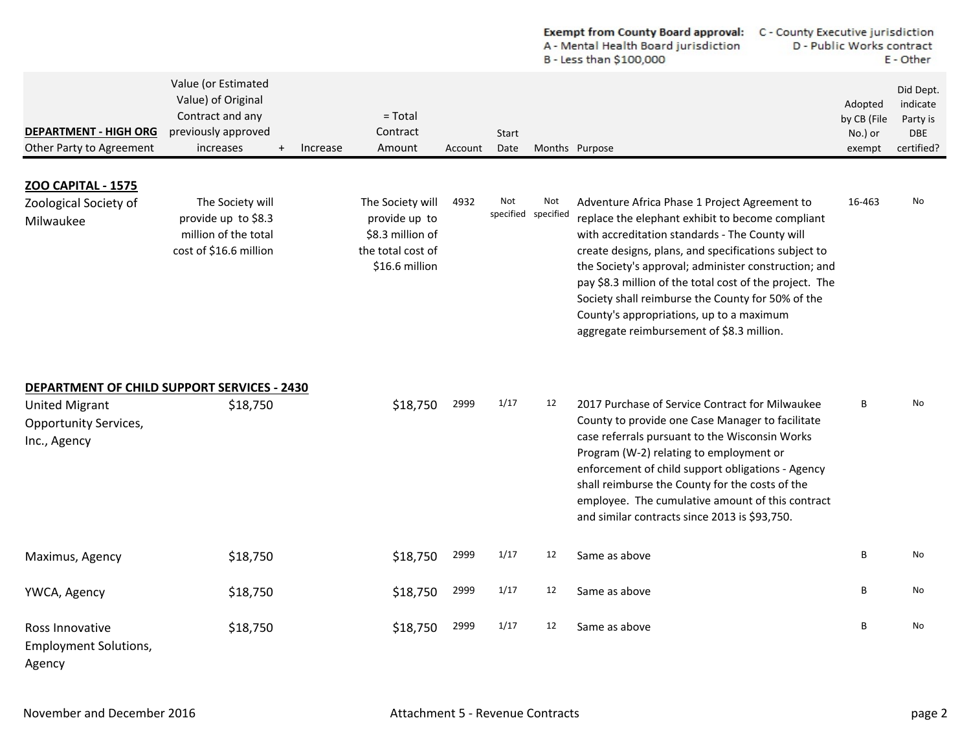|                                                                       |                                                                                                                            |                                                                                              |         |                            | <b>Exempt from County Board approval:</b><br>C - County Executive jurisdiction<br>A - Mental Health Board jurisdiction<br>D - Public Works contract<br>B - Less than \$100,000 |                                                                                                                                                                                                                                                                                                                                                                                                                                                                              |  |                                             | E - Other                                                     |
|-----------------------------------------------------------------------|----------------------------------------------------------------------------------------------------------------------------|----------------------------------------------------------------------------------------------|---------|----------------------------|--------------------------------------------------------------------------------------------------------------------------------------------------------------------------------|------------------------------------------------------------------------------------------------------------------------------------------------------------------------------------------------------------------------------------------------------------------------------------------------------------------------------------------------------------------------------------------------------------------------------------------------------------------------------|--|---------------------------------------------|---------------------------------------------------------------|
| <b>DEPARTMENT - HIGH ORG</b><br>Other Party to Agreement              | Value (or Estimated<br>Value) of Original<br>Contract and any<br>previously approved<br>increases<br>$\ddot{}$<br>Increase | $=$ Total<br>Contract<br>Amount                                                              | Account | Start<br>Date              |                                                                                                                                                                                | Months Purpose                                                                                                                                                                                                                                                                                                                                                                                                                                                               |  | Adopted<br>by CB (File<br>No.) or<br>exempt | Did Dept.<br>indicate<br>Party is<br><b>DBE</b><br>certified? |
| <b>ZOO CAPITAL - 1575</b><br>Zoological Society of<br>Milwaukee       | The Society will<br>provide up to \$8.3<br>million of the total<br>cost of \$16.6 million                                  | The Society will<br>provide up to<br>\$8.3 million of<br>the total cost of<br>\$16.6 million | 4932    | Not<br>specified specified | Not                                                                                                                                                                            | Adventure Africa Phase 1 Project Agreement to<br>replace the elephant exhibit to become compliant<br>with accreditation standards - The County will<br>create designs, plans, and specifications subject to<br>the Society's approval; administer construction; and<br>pay \$8.3 million of the total cost of the project. The<br>Society shall reimburse the County for 50% of the<br>County's appropriations, up to a maximum<br>aggregate reimbursement of \$8.3 million. |  | 16-463                                      | No                                                            |
| <b>United Migrant</b><br><b>Opportunity Services,</b><br>Inc., Agency | DEPARTMENT OF CHILD SUPPORT SERVICES - 2430<br>\$18,750                                                                    | \$18,750                                                                                     | 2999    | 1/17                       | 12                                                                                                                                                                             | 2017 Purchase of Service Contract for Milwaukee<br>County to provide one Case Manager to facilitate<br>case referrals pursuant to the Wisconsin Works<br>Program (W-2) relating to employment or<br>enforcement of child support obligations - Agency<br>shall reimburse the County for the costs of the<br>employee. The cumulative amount of this contract<br>and similar contracts since 2013 is \$93,750.                                                                |  | B                                           | No                                                            |
| Maximus, Agency                                                       | \$18,750                                                                                                                   | \$18,750                                                                                     | 2999    | 1/17                       | 12                                                                                                                                                                             | Same as above                                                                                                                                                                                                                                                                                                                                                                                                                                                                |  | B                                           | No                                                            |
| YWCA, Agency                                                          | \$18,750                                                                                                                   | \$18,750                                                                                     | 2999    | 1/17                       | 12                                                                                                                                                                             | Same as above                                                                                                                                                                                                                                                                                                                                                                                                                                                                |  | В                                           | No                                                            |
| Ross Innovative<br><b>Employment Solutions,</b><br>Agency             | \$18,750                                                                                                                   | \$18,750                                                                                     | 2999    | 1/17                       | 12                                                                                                                                                                             | Same as above                                                                                                                                                                                                                                                                                                                                                                                                                                                                |  | В                                           | No                                                            |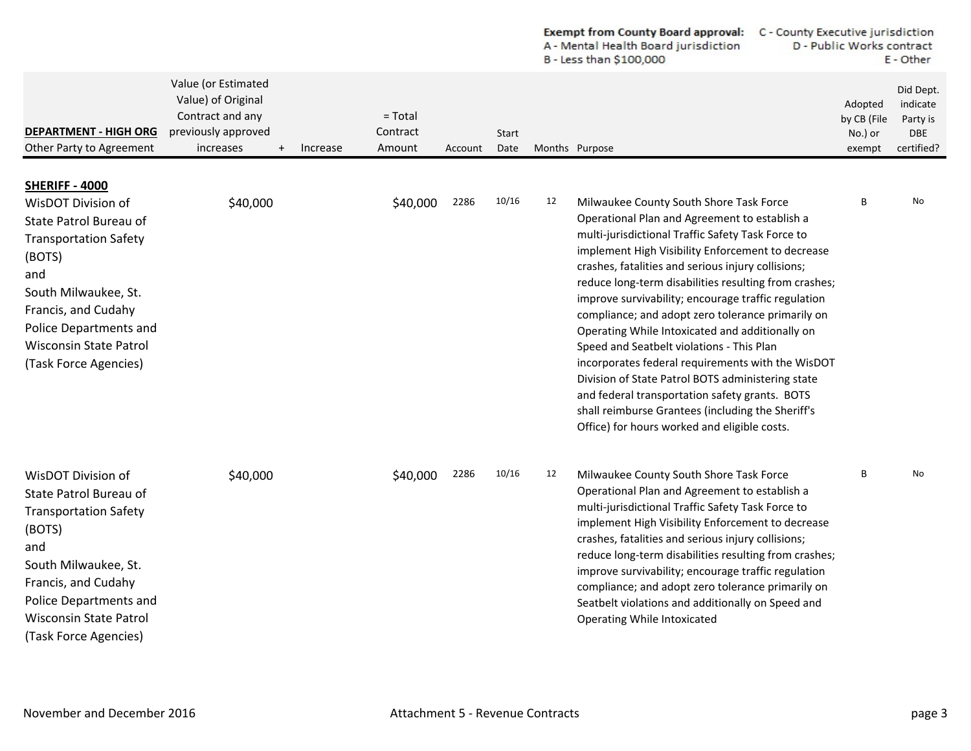|                                                                                                                                                                                                                                                    |                                                                                                                |          |                                 |         |                      |    | <b>Exempt from County Board approval:</b><br>A - Mental Health Board jurisdiction<br>B - Less than \$100,000                                                                                                                                                                                                                                                                                                                                                                                                                                                                                                                                                                                                                                                                                   | C - County Executive jurisdiction<br>D - Public Works contract<br>E - Other |                                             |                                                               |  |
|----------------------------------------------------------------------------------------------------------------------------------------------------------------------------------------------------------------------------------------------------|----------------------------------------------------------------------------------------------------------------|----------|---------------------------------|---------|----------------------|----|------------------------------------------------------------------------------------------------------------------------------------------------------------------------------------------------------------------------------------------------------------------------------------------------------------------------------------------------------------------------------------------------------------------------------------------------------------------------------------------------------------------------------------------------------------------------------------------------------------------------------------------------------------------------------------------------------------------------------------------------------------------------------------------------|-----------------------------------------------------------------------------|---------------------------------------------|---------------------------------------------------------------|--|
| <b>DEPARTMENT - HIGH ORG</b><br>Other Party to Agreement                                                                                                                                                                                           | Value (or Estimated<br>Value) of Original<br>Contract and any<br>previously approved<br>increases<br>$\ddot{}$ | Increase | $=$ Total<br>Contract<br>Amount | Account | <b>Start</b><br>Date |    | Months Purpose                                                                                                                                                                                                                                                                                                                                                                                                                                                                                                                                                                                                                                                                                                                                                                                 |                                                                             | Adopted<br>by CB (File<br>No.) or<br>exempt | Did Dept.<br>indicate<br>Party is<br><b>DBE</b><br>certified? |  |
| SHERIFF - 4000<br>WisDOT Division of<br>State Patrol Bureau of<br><b>Transportation Safety</b><br>(BOTS)<br>and<br>South Milwaukee, St.<br>Francis, and Cudahy<br>Police Departments and<br><b>Wisconsin State Patrol</b><br>(Task Force Agencies) | \$40,000                                                                                                       |          | \$40,000                        | 2286    | 10/16                | 12 | Milwaukee County South Shore Task Force<br>Operational Plan and Agreement to establish a<br>multi-jurisdictional Traffic Safety Task Force to<br>implement High Visibility Enforcement to decrease<br>crashes, fatalities and serious injury collisions;<br>reduce long-term disabilities resulting from crashes;<br>improve survivability; encourage traffic regulation<br>compliance; and adopt zero tolerance primarily on<br>Operating While Intoxicated and additionally on<br>Speed and Seatbelt violations - This Plan<br>incorporates federal requirements with the WisDOT<br>Division of State Patrol BOTS administering state<br>and federal transportation safety grants. BOTS<br>shall reimburse Grantees (including the Sheriff's<br>Office) for hours worked and eligible costs. |                                                                             | B                                           | No                                                            |  |
| WisDOT Division of<br>State Patrol Bureau of<br><b>Transportation Safety</b><br>(BOTS)<br>and<br>South Milwaukee, St.<br>Francis, and Cudahy<br>Police Departments and<br><b>Wisconsin State Patrol</b><br>(Task Force Agencies)                   | \$40,000                                                                                                       |          | \$40,000                        | 2286    | 10/16                | 12 | Milwaukee County South Shore Task Force<br>Operational Plan and Agreement to establish a<br>multi-jurisdictional Traffic Safety Task Force to<br>implement High Visibility Enforcement to decrease<br>crashes, fatalities and serious injury collisions;<br>reduce long-term disabilities resulting from crashes;<br>improve survivability; encourage traffic regulation<br>compliance; and adopt zero tolerance primarily on<br>Seatbelt violations and additionally on Speed and<br>Operating While Intoxicated                                                                                                                                                                                                                                                                              |                                                                             | B                                           | No                                                            |  |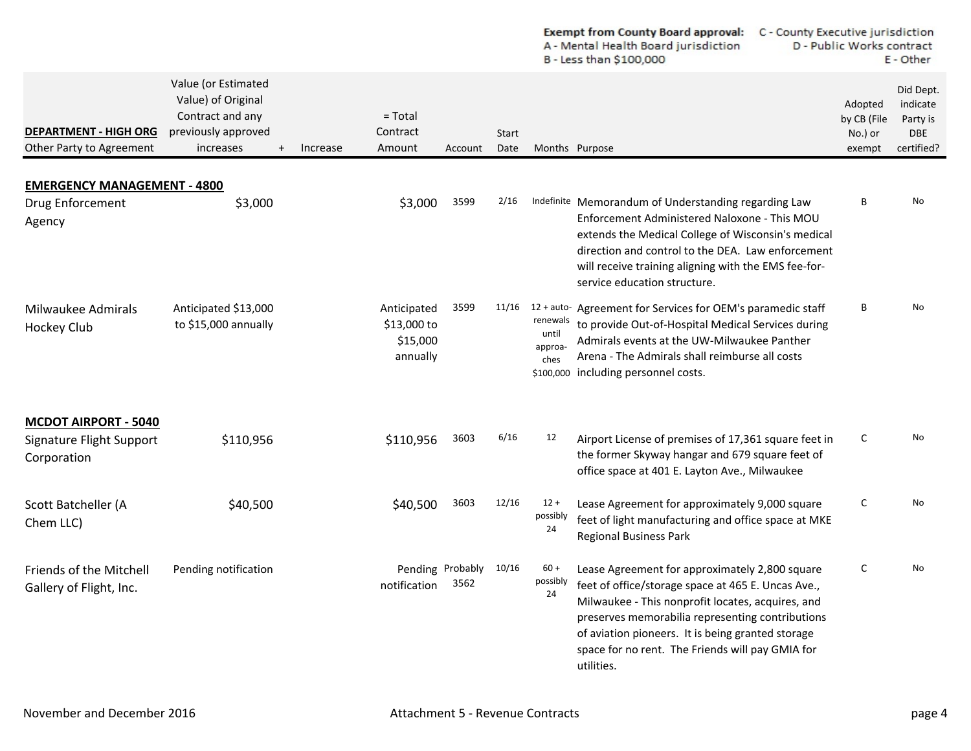|                                                                        |                                                                                                          |          |                                                    |                          |               |                                                   | Exempt from County Board approval:<br>A - Mental Health Board jurisdiction<br>B - Less than \$100,000                                                                                                                                                                                                                                |                                             | C - County Executive jurisdiction<br>D - Public Works contract<br>E - Other |  |  |
|------------------------------------------------------------------------|----------------------------------------------------------------------------------------------------------|----------|----------------------------------------------------|--------------------------|---------------|---------------------------------------------------|--------------------------------------------------------------------------------------------------------------------------------------------------------------------------------------------------------------------------------------------------------------------------------------------------------------------------------------|---------------------------------------------|-----------------------------------------------------------------------------|--|--|
| <b>DEPARTMENT - HIGH ORG</b><br>Other Party to Agreement               | Value (or Estimated<br>Value) of Original<br>Contract and any<br>previously approved<br>increases<br>$+$ | Increase | $=$ Total<br>Contract<br>Amount                    | Account                  | Start<br>Date |                                                   | Months Purpose                                                                                                                                                                                                                                                                                                                       | Adopted<br>by CB (File<br>No.) or<br>exempt | Did Dept.<br>indicate<br>Party is<br>DBE<br>certified?                      |  |  |
| <b>EMERGENCY MANAGEMENT - 4800</b>                                     |                                                                                                          |          |                                                    |                          |               |                                                   |                                                                                                                                                                                                                                                                                                                                      |                                             |                                                                             |  |  |
| Drug Enforcement<br>Agency                                             | \$3,000                                                                                                  |          | \$3,000                                            | 3599                     | 2/16          |                                                   | Indefinite Memorandum of Understanding regarding Law<br>Enforcement Administered Naloxone - This MOU<br>extends the Medical College of Wisconsin's medical<br>direction and control to the DEA. Law enforcement<br>will receive training aligning with the EMS fee-for-<br>service education structure.                              | В                                           | No                                                                          |  |  |
| Milwaukee Admirals<br>Hockey Club                                      | Anticipated \$13,000<br>to \$15,000 annually                                                             |          | Anticipated<br>\$13,000 to<br>\$15,000<br>annually | 3599                     | 11/16         | renewals<br>until<br>approa-<br>ches<br>\$100,000 | 12 + auto- Agreement for Services for OEM's paramedic staff<br>to provide Out-of-Hospital Medical Services during<br>Admirals events at the UW-Milwaukee Panther<br>Arena - The Admirals shall reimburse all costs<br>including personnel costs.                                                                                     | В                                           | No                                                                          |  |  |
| <b>MCDOT AIRPORT - 5040</b><br>Signature Flight Support<br>Corporation | \$110,956                                                                                                |          | \$110,956                                          | 3603                     | 6/16          | 12                                                | Airport License of premises of 17,361 square feet in<br>the former Skyway hangar and 679 square feet of<br>office space at 401 E. Layton Ave., Milwaukee                                                                                                                                                                             | C                                           | No                                                                          |  |  |
| Scott Batcheller (A<br>Chem LLC)                                       | \$40,500                                                                                                 |          | \$40,500                                           | 3603                     | 12/16         | $12 +$<br>possibly<br>24                          | Lease Agreement for approximately 9,000 square<br>feet of light manufacturing and office space at MKE<br><b>Regional Business Park</b>                                                                                                                                                                                               | C                                           | No                                                                          |  |  |
| <b>Friends of the Mitchell</b><br>Gallery of Flight, Inc.              | Pending notification                                                                                     |          | notification                                       | Pending Probably<br>3562 | 10/16         | $60 +$<br>possibly<br>24                          | Lease Agreement for approximately 2,800 square<br>feet of office/storage space at 465 E. Uncas Ave.,<br>Milwaukee - This nonprofit locates, acquires, and<br>preserves memorabilia representing contributions<br>of aviation pioneers. It is being granted storage<br>space for no rent. The Friends will pay GMIA for<br>utilities. | С                                           | No                                                                          |  |  |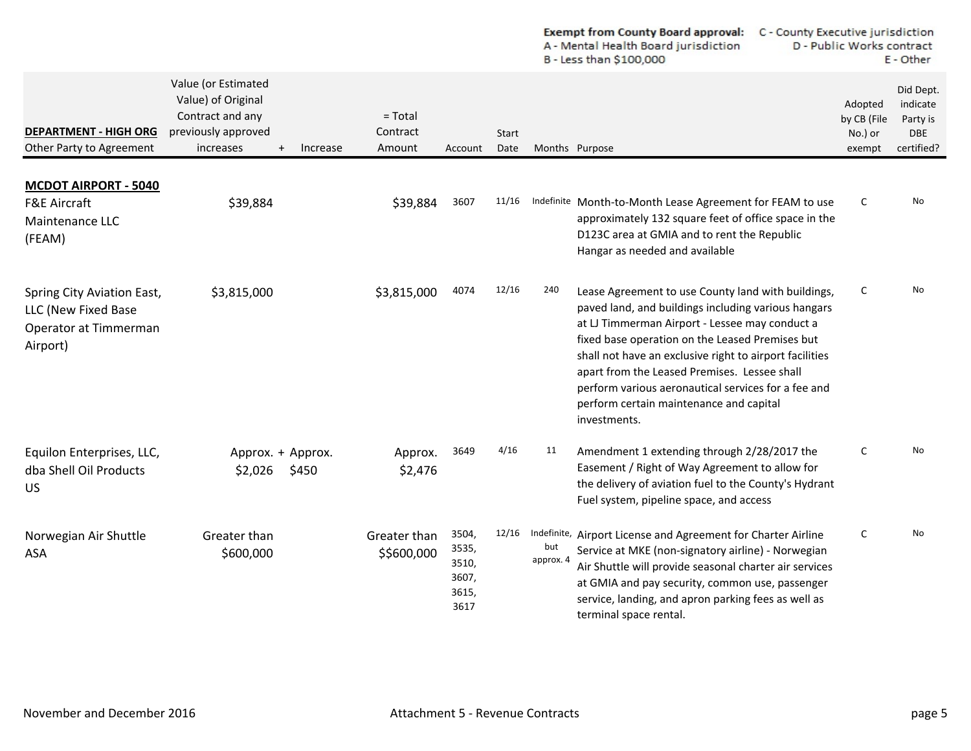|                                                                                        |                                                                                                                      |                                 |                                                   |                      |                  | <b>Exempt from County Board approval:</b><br>A - Mental Health Board jurisdiction<br>B - Less than \$100,000                                                                                                                                                                                                                                                                                                                                | C - County Executive jurisdiction<br>D - Public Works contract<br>E - Other |                                                               |
|----------------------------------------------------------------------------------------|----------------------------------------------------------------------------------------------------------------------|---------------------------------|---------------------------------------------------|----------------------|------------------|---------------------------------------------------------------------------------------------------------------------------------------------------------------------------------------------------------------------------------------------------------------------------------------------------------------------------------------------------------------------------------------------------------------------------------------------|-----------------------------------------------------------------------------|---------------------------------------------------------------|
| <b>DEPARTMENT - HIGH ORG</b><br>Other Party to Agreement                               | Value (or Estimated<br>Value) of Original<br>Contract and any<br>previously approved<br>increases<br>Increase<br>$+$ | $= Total$<br>Contract<br>Amount | Account                                           | <b>Start</b><br>Date | Months Purpose   |                                                                                                                                                                                                                                                                                                                                                                                                                                             | Adopted<br>by CB (File<br>No.) or<br>exempt                                 | Did Dept.<br>indicate<br>Party is<br><b>DBE</b><br>certified? |
| <b>MCDOT AIRPORT - 5040</b><br><b>F&amp;E Aircraft</b><br>Maintenance LLC<br>(FEAM)    | \$39,884                                                                                                             | \$39,884                        | 3607                                              | 11/16                |                  | Indefinite Month-to-Month Lease Agreement for FEAM to use<br>approximately 132 square feet of office space in the<br>D123C area at GMIA and to rent the Republic<br>Hangar as needed and available                                                                                                                                                                                                                                          | C                                                                           | No                                                            |
| Spring City Aviation East,<br>LLC (New Fixed Base<br>Operator at Timmerman<br>Airport) | \$3,815,000                                                                                                          | \$3,815,000                     | 4074                                              | 12/16                | 240              | Lease Agreement to use County land with buildings,<br>paved land, and buildings including various hangars<br>at LJ Timmerman Airport - Lessee may conduct a<br>fixed base operation on the Leased Premises but<br>shall not have an exclusive right to airport facilities<br>apart from the Leased Premises. Lessee shall<br>perform various aeronautical services for a fee and<br>perform certain maintenance and capital<br>investments. | $\mathsf C$                                                                 | <b>No</b>                                                     |
| Equilon Enterprises, LLC,<br>dba Shell Oil Products<br>US.                             | Approx. + Approx.<br>\$450<br>\$2,026                                                                                | Approx.<br>\$2,476              | 3649                                              | 4/16                 | 11               | Amendment 1 extending through 2/28/2017 the<br>Easement / Right of Way Agreement to allow for<br>the delivery of aviation fuel to the County's Hydrant<br>Fuel system, pipeline space, and access                                                                                                                                                                                                                                           | C                                                                           | No                                                            |
| Norwegian Air Shuttle<br>ASA                                                           | Greater than<br>\$600,000                                                                                            | Greater than<br>\$\$600,000     | 3504,<br>3535,<br>3510,<br>3607,<br>3615,<br>3617 |                      | but<br>approx. 4 | 12/16 Indefinite, Airport License and Agreement for Charter Airline<br>Service at MKE (non-signatory airline) - Norwegian<br>Air Shuttle will provide seasonal charter air services<br>at GMIA and pay security, common use, passenger<br>service, landing, and apron parking fees as well as<br>terminal space rental.                                                                                                                     | $\mathsf C$                                                                 | No                                                            |